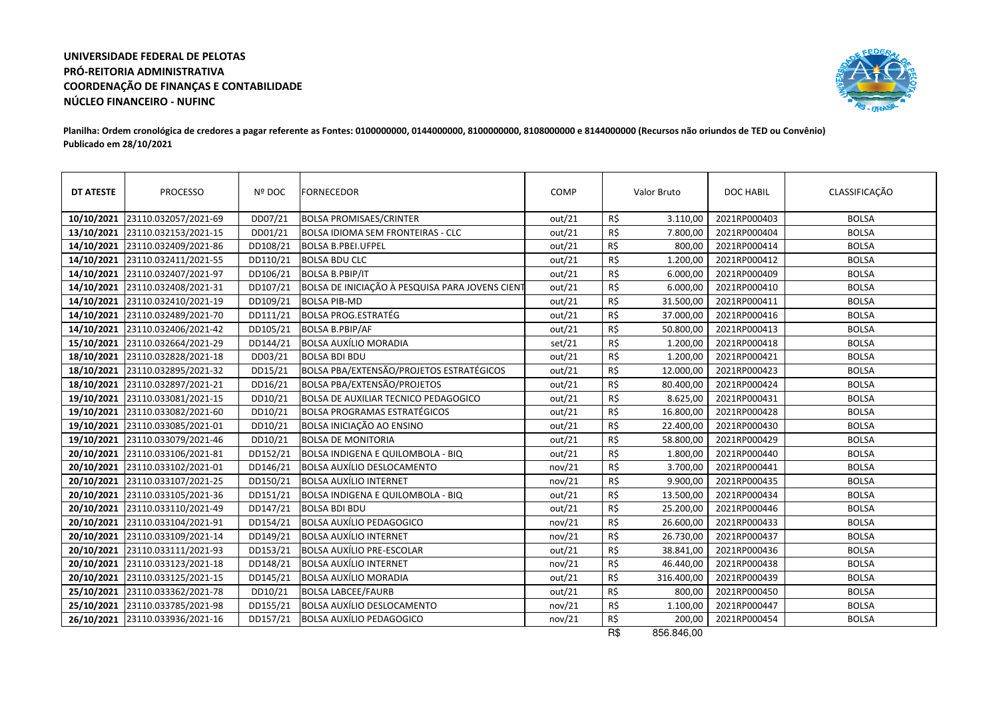## **UNIVERSIDADE FEDERAL DE PELOTAS PRÓ-REITORIA ADMINISTRATIVA COORDENAÇÃO DE FINANÇAS E CONTABILIDADENÚCLEO FINANCEIRO - NUFINC**



## **Planilha: Ordem cronológica de credores a pagar referente as Fontes: 0100000000, 0144000000, 8100000000, 8108000000 e 8144000000 (Recursos não oriundos de TED ou Convênio)Publicado em 28/10/2021**

| DT ATESTE  | <b>PROCESSO</b>      | Nº DOC   | <b>FORNECEDOR</b>                               | COMP   |     | Valor Bruto | <b>DOC HABIL</b> | CLASSIFICAÇÃO |
|------------|----------------------|----------|-------------------------------------------------|--------|-----|-------------|------------------|---------------|
| 10/10/2021 | 23110.032057/2021-69 | DD07/21  | <b>BOLSA PROMISAES/CRINTER</b>                  | out/21 | R\$ | 3.110,00    | 2021RP000403     | <b>BOLSA</b>  |
| 13/10/2021 | 23110.032153/2021-15 | DD01/21  | <b>BOLSA IDIOMA SEM FRONTEIRAS - CLC</b>        | out/21 | R\$ | 7.800,00    | 2021RP000404     | <b>BOLSA</b>  |
| 14/10/2021 | 23110.032409/2021-86 | DD108/21 | <b>BOLSA B.PBEI.UFPEL</b>                       | out/21 | R\$ | 800,00      | 2021RP000414     | <b>BOLSA</b>  |
| 14/10/2021 | 23110.032411/2021-55 | DD110/21 | <b>BOLSA BDU CLC</b>                            | out/21 | R\$ | 1.200,00    | 2021RP000412     | <b>BOLSA</b>  |
| 14/10/2021 | 23110.032407/2021-97 | DD106/21 | <b>BOLSA B.PBIP/IT</b>                          | out/21 | R\$ | 6.000,00    | 2021RP000409     | <b>BOLSA</b>  |
| 14/10/2021 | 23110.032408/2021-31 | DD107/21 | BOLSA DE INICIAÇÃO À PESQUISA PARA JOVENS CIENT | out/21 | R\$ | 6.000,00    | 2021RP000410     | <b>BOLSA</b>  |
| 14/10/2021 | 23110.032410/2021-19 | DD109/21 | <b>BOLSA PIB-MD</b>                             | out/21 | R\$ | 31.500,00   | 2021RP000411     | <b>BOLSA</b>  |
| 14/10/2021 | 23110.032489/2021-70 | DD111/21 | <b>BOLSA PROG.ESTRATÉG</b>                      | out/21 | R\$ | 37.000,00   | 2021RP000416     | <b>BOLSA</b>  |
| 14/10/2021 | 23110.032406/2021-42 | DD105/21 | <b>BOLSA B.PBIP/AF</b>                          | out/21 | R\$ | 50.800,00   | 2021RP000413     | <b>BOLSA</b>  |
| 15/10/2021 | 23110.032664/2021-29 | DD144/21 | <b>BOLSA AUXÍLIO MORADIA</b>                    | set/21 | R\$ | 1.200,00    | 2021RP000418     | <b>BOLSA</b>  |
| 18/10/2021 | 23110.032828/2021-18 | DD03/21  | <b>BOLSA BDI BDU</b>                            | out/21 | R\$ | 1.200,00    | 2021RP000421     | <b>BOLSA</b>  |
| 18/10/2021 | 23110.032895/2021-32 | DD15/21  | BOLSA PBA/EXTENSÃO/PROJETOS ESTRATÉGICOS        | out/21 | R\$ | 12.000,00   | 2021RP000423     | <b>BOLSA</b>  |
| 18/10/2021 | 23110.032897/2021-21 | DD16/21  | <b>BOLSA PBA/EXTENSÃO/PROJETOS</b>              | out/21 | R\$ | 80.400,00   | 2021RP000424     | <b>BOLSA</b>  |
| 19/10/2021 | 23110.033081/2021-15 | DD10/21  | <b>BOLSA DE AUXILIAR TECNICO PEDAGOGICO</b>     | out/21 | R\$ | 8.625,00    | 2021RP000431     | <b>BOLSA</b>  |
| 19/10/2021 | 23110.033082/2021-60 | DD10/21  | <b>BOLSA PROGRAMAS ESTRATÉGICOS</b>             | out/21 | R\$ | 16.800,00   | 2021RP000428     | <b>BOLSA</b>  |
| 19/10/2021 | 23110.033085/2021-01 | DD10/21  | BOLSA INICIAÇÃO AO ENSINO                       | out/21 | R\$ | 22.400,00   | 2021RP000430     | <b>BOLSA</b>  |
| 19/10/2021 | 23110.033079/2021-46 | DD10/21  | <b>BOLSA DE MONITORIA</b>                       | out/21 | R\$ | 58.800,00   | 2021RP000429     | <b>BOLSA</b>  |
| 20/10/2021 | 23110.033106/2021-81 | DD152/21 | BOLSA INDIGENA E QUILOMBOLA - BIQ               | out/21 | R\$ | 1.800,00    | 2021RP000440     | <b>BOLSA</b>  |
| 20/10/2021 | 23110.033102/2021-01 | DD146/21 | <b>BOLSA AUXÍLIO DESLOCAMENTO</b>               | nov/21 | R\$ | 3.700,00    | 2021RP000441     | <b>BOLSA</b>  |
| 20/10/2021 | 23110.033107/2021-25 | DD150/21 | <b>BOLSA AUXÍLIO INTERNET</b>                   | nov/21 | R\$ | 9.900,00    | 2021RP000435     | <b>BOLSA</b>  |
| 20/10/2021 | 23110.033105/2021-36 | DD151/21 | BOLSA INDIGENA E QUILOMBOLA - BIQ               | out/21 | R\$ | 13.500,00   | 2021RP000434     | <b>BOLSA</b>  |
| 20/10/2021 | 23110.033110/2021-49 | DD147/21 | <b>BOLSA BDI BDU</b>                            | out/21 | R\$ | 25.200,00   | 2021RP000446     | <b>BOLSA</b>  |
| 20/10/2021 | 23110.033104/2021-91 | DD154/21 | <b>BOLSA AUXÍLIO PEDAGOGICO</b>                 | nov/21 | R\$ | 26.600,00   | 2021RP000433     | <b>BOLSA</b>  |
| 20/10/2021 | 23110.033109/2021-14 | DD149/21 | <b>BOLSA AUXÍLIO INTERNET</b>                   | nov/21 | R\$ | 26.730,00   | 2021RP000437     | <b>BOLSA</b>  |
| 20/10/2021 | 23110.033111/2021-93 | DD153/21 | <b>BOLSA AUXÍLIO PRE-ESCOLAR</b>                | out/21 | R\$ | 38.841,00   | 2021RP000436     | <b>BOLSA</b>  |
| 20/10/2021 | 23110.033123/2021-18 | DD148/21 | <b>BOLSA AUXÍLIO INTERNET</b>                   | nov/21 | R\$ | 46.440,00   | 2021RP000438     | <b>BOLSA</b>  |
| 20/10/2021 | 23110.033125/2021-15 | DD145/21 | <b>BOLSA AUXÍLIO MORADIA</b>                    | out/21 | R\$ | 316.400,00  | 2021RP000439     | <b>BOLSA</b>  |
| 25/10/2021 | 23110.033362/2021-78 | DD10/21  | <b>BOLSA LABCEE/FAURB</b>                       | out/21 | R\$ | 800,00      | 2021RP000450     | <b>BOLSA</b>  |
| 25/10/2021 | 23110.033785/2021-98 | DD155/21 | <b>BOLSA AUXÍLIO DESLOCAMENTO</b>               | nov/21 | R\$ | 1.100,00    | 2021RP000447     | <b>BOLSA</b>  |
| 26/10/2021 | 23110.033936/2021-16 | DD157/21 | <b>BOLSA AUXÍLIO PEDAGOGICO</b>                 | nov/21 | R\$ | 200,00      | 2021RP000454     | <b>BOLSA</b>  |

R\$ 856.846,00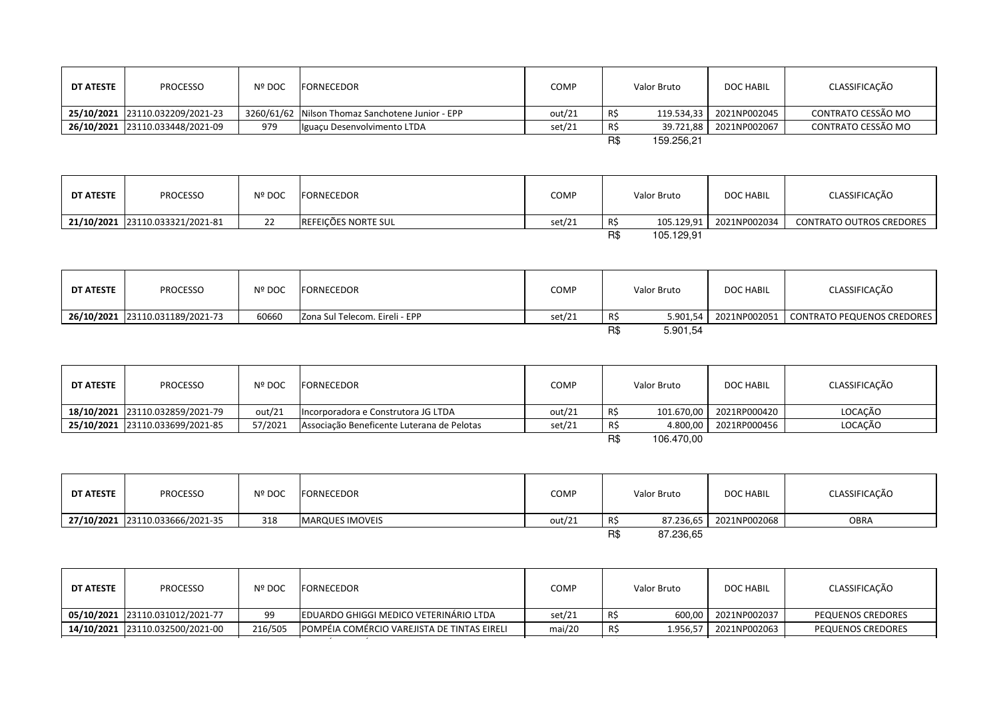| DT ATESTE | <b>PROCESSO</b>                 | <b>Nº DOC</b> | <b>IFORNECEDOR</b>                               | COMP   |     | Valor Bruto | DOC HABIL               | CLASSIFICAÇÃO      |
|-----------|---------------------------------|---------------|--------------------------------------------------|--------|-----|-------------|-------------------------|--------------------|
|           | 25/10/2021 23110.032209/2021-23 |               | 3260/61/62 Nilson Thomaz Sanchotene Junior - EPP | out/21 | R\$ |             | 119.534.33 2021NP002045 | CONTRATO CESSÃO MO |
|           | 26/10/2021 23110.033448/2021-09 | 979           | Iguaçu Desenvolvimento LTDA                      | set/21 | R\$ |             | 39.721.88 2021NP002067  | CONTRATO CESSÃO MO |
|           |                                 |               |                                                  |        | R\$ | 159.256.21  |                         |                    |

| DT ATESTE | <b>PROCESSO</b>                 | <b>Nº DOC</b> | FORNECEDOR          | <b>COMP</b> |     | Valor Bruto | <b>DOC HABIL</b> | CLASSIFICAÇÃO                   |
|-----------|---------------------------------|---------------|---------------------|-------------|-----|-------------|------------------|---------------------------------|
|           | 21/10/2021 23110.033321/2021-81 | ∠∠            | REFEIÇÕES NORTE SUL | set/21      | R\$ | 105.129,91  | 2021NP002034     | <b>CONTRATO OUTROS CREDORES</b> |
|           |                                 |               |                     |             | R\$ | 105.129.91  |                  |                                 |

| DT ATESTE | <b>PROCESSO</b>                 | Nº DOC | FORNECEDOR                     | COMP   |     | Valor Bruto | <b>DOC HABIL</b> | CLASSIFICAÇÃO                           |
|-----------|---------------------------------|--------|--------------------------------|--------|-----|-------------|------------------|-----------------------------------------|
|           | 26/10/2021 23110.031189/2021-73 | 60660  | Zona Sul Telecom. Eireli - EPP | set/21 | R\$ | 5.901.54    |                  | 2021NP002051 CONTRATO PEQUENOS CREDORES |
|           |                                 |        |                                |        | R\$ | 5.901,54    |                  |                                         |

| <b>DT ATESTE</b> | <b>PROCESSO</b>                 | Nº DOC  | FORNECEDOR                                 | <b>COMP</b> |     | Valor Bruto | DOC HABIL    | CLASSIFICAÇÃO |
|------------------|---------------------------------|---------|--------------------------------------------|-------------|-----|-------------|--------------|---------------|
|                  | 18/10/2021 23110.032859/2021-79 | out/21  | Incorporadora e Construtora JG LTDA        | out/21      |     | 101.670,00  | 2021RP000420 | LOCACÃO       |
|                  | 25/10/2021 23110.033699/2021-85 | 57/2021 | Associação Beneficente Luterana de Pelotas | set/21      | R\$ | 4.800.00    | 2021RP000456 | LOCACÃO       |
|                  |                                 |         |                                            |             | R\$ | 106.470.00  |              |               |

| DT ATESTE | <b>PROCESSO</b>                 | Nº DOC | FORNECEDOR             | COMP   |     | Valor Bruto | <b>DOC HABIL</b> | CLASSIFICAÇÃO |
|-----------|---------------------------------|--------|------------------------|--------|-----|-------------|------------------|---------------|
|           | 27/10/2021 23110.033666/2021-35 | 318    | <b>MARQUES IMOVEIS</b> | out/21 |     | 87.236,65   | 2021NP002068     | <b>OBRA</b>   |
|           |                                 |        |                        |        | R\$ | 87.236,65   |                  |               |

| DT ATESTE | <b>PROCESSO</b>                 | Nº DOC  | <b>FORNECEDOR</b>                                  | <b>COMP</b> | Valor Bruto     | DOC HABIL    | CLASSIFICAÇÃO     |
|-----------|---------------------------------|---------|----------------------------------------------------|-------------|-----------------|--------------|-------------------|
|           |                                 |         |                                                    |             |                 |              |                   |
|           | 05/10/2021 23110.031012/2021-77 | 99      | EDUARDO GHIGGI MEDICO VETERINÁRIO LTDA             | set/21      | -RS<br>600.00   | 2021NP002037 | PEQUENOS CREDORES |
|           | 14/10/2021 23110.032500/2021-00 | 216/505 | <b>POMPÉIA COMÉRCIO VAREJISTA DE TINTAS EIRELI</b> | mai/20      | R\$<br>1.956.57 | 2021NP002063 | PEQUENOS CREDORES |
|           |                                 |         |                                                    |             |                 |              |                   |

23110.032532/2021-05 <sup>223</sup> POMPÉIA COMÉRCIO VAREJISTA DE TINTAS EIRELI mai/20 R\$ 1.707,38 2021NP002064 PEQUENOS CREDORES